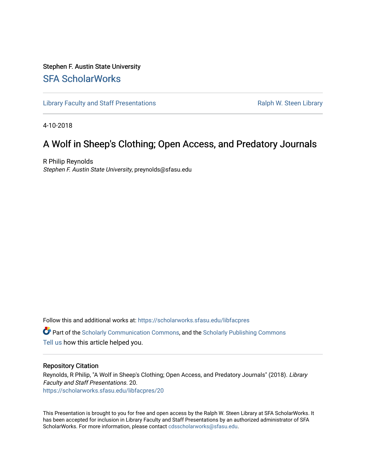#### Stephen F. Austin State University [SFA ScholarWorks](https://scholarworks.sfasu.edu/)

[Library Faculty and Staff Presentations](https://scholarworks.sfasu.edu/libfacpres) **Ralph W. Steen Library** Ralph W. Steen Library

4-10-2018

#### A Wolf in Sheep's Clothing; Open Access, and Predatory Journals

R Philip Reynolds Stephen F. Austin State University, preynolds@sfasu.edu

Follow this and additional works at: [https://scholarworks.sfasu.edu/libfacpres](https://scholarworks.sfasu.edu/libfacpres?utm_source=scholarworks.sfasu.edu%2Flibfacpres%2F20&utm_medium=PDF&utm_campaign=PDFCoverPages)  **C** Part of the [Scholarly Communication Commons,](http://network.bepress.com/hgg/discipline/1272?utm_source=scholarworks.sfasu.edu%2Flibfacpres%2F20&utm_medium=PDF&utm_campaign=PDFCoverPages) and the [Scholarly Publishing Commons](http://network.bepress.com/hgg/discipline/1273?utm_source=scholarworks.sfasu.edu%2Flibfacpres%2F20&utm_medium=PDF&utm_campaign=PDFCoverPages) [Tell us](http://sfasu.qualtrics.com/SE/?SID=SV_0qS6tdXftDLradv) how this article helped you.

#### Repository Citation

Reynolds, R Philip, "A Wolf in Sheep's Clothing; Open Access, and Predatory Journals" (2018). Library Faculty and Staff Presentations. 20. [https://scholarworks.sfasu.edu/libfacpres/20](https://scholarworks.sfasu.edu/libfacpres/20?utm_source=scholarworks.sfasu.edu%2Flibfacpres%2F20&utm_medium=PDF&utm_campaign=PDFCoverPages)

This Presentation is brought to you for free and open access by the Ralph W. Steen Library at SFA ScholarWorks. It has been accepted for inclusion in Library Faculty and Staff Presentations by an authorized administrator of SFA ScholarWorks. For more information, please contact [cdsscholarworks@sfasu.edu.](mailto:cdsscholarworks@sfasu.edu)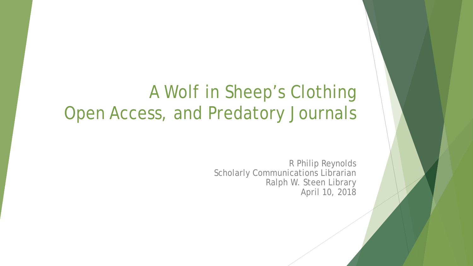# A Wolf in Sheep's Clothing Open Access, and Predatory Journals

R Philip Reynolds Scholarly Communications Librarian Ralph W. Steen Library April 10, 2018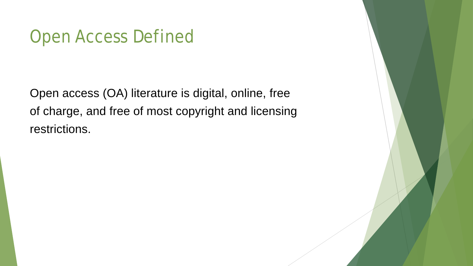## Open Access Defined

Open access (OA) literature is digital, online, free of charge, and free of most copyright and licensing restrictions.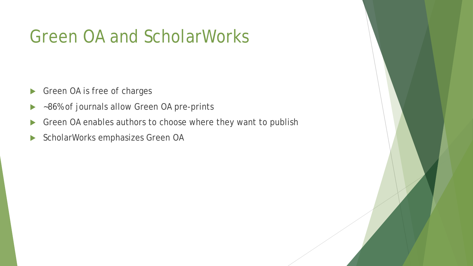# Green OA and ScholarWorks

- Green OA is free of charges
- ▶ ~86% of journals allow Green OA pre-prints
- Green OA enables authors to choose where they want to publish
- ScholarWorks emphasizes Green OA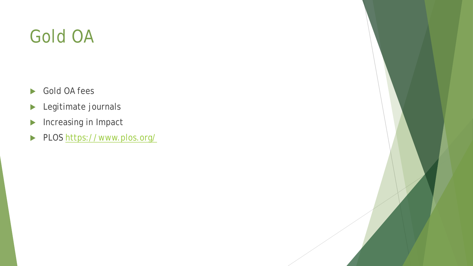# Gold OA

- Gold OA fees
- **Legitimate journals**
- Increasing in Impact
- PLOS <https://www.plos.org/>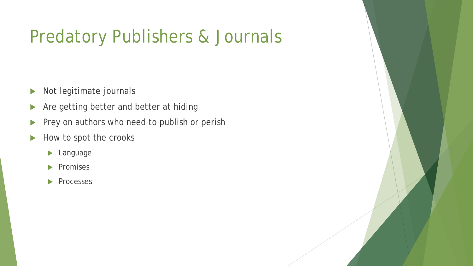# Predatory Publishers & Journals

- Not legitimate journals
- Are getting better and better at hiding
- Prey on authors who need to publish or perish
- $\blacktriangleright$  How to spot the crooks
	- **Language**
	- $\blacktriangleright$  Promises
	- **Processes**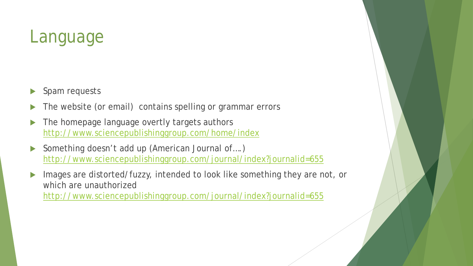## Language

- Spam requests
- The website (or email) contains spelling or grammar errors
- The homepage language overtly targets authors <http://www.sciencepublishinggroup.com/home/index>
- ▶ Something doesn't add up (American Journal of....) <http://www.sciencepublishinggroup.com/journal/index?journalid=655>
- Images are distorted/fuzzy, intended to look like something they are not, or which are unauthorized <http://www.sciencepublishinggroup.com/journal/index?journalid=655>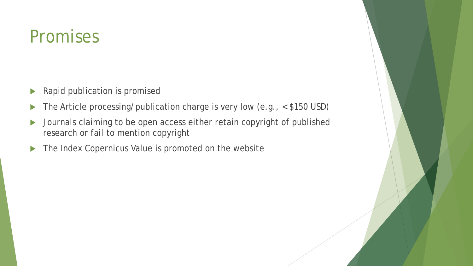## Promises

- **Rapid publication is promised**
- The Article processing/publication charge is very low (e.g., < \$150 USD)
- **Demonstrangery Journals claiming to be open access either retain copyright of published** research or fail to mention copyright
- The Index Copernicus Value is promoted on the website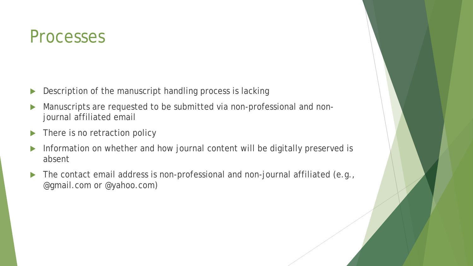#### Processes

- Description of the manuscript handling process is lacking
- Manuscripts are requested to be submitted via non-professional and nonjournal affiliated email
- ▶ There is no retraction policy
- Information on whether and how journal content will be digitally preserved is absent
- The contact email address is non-professional and non-journal affiliated (e.g., @gmail.com or @yahoo.com)